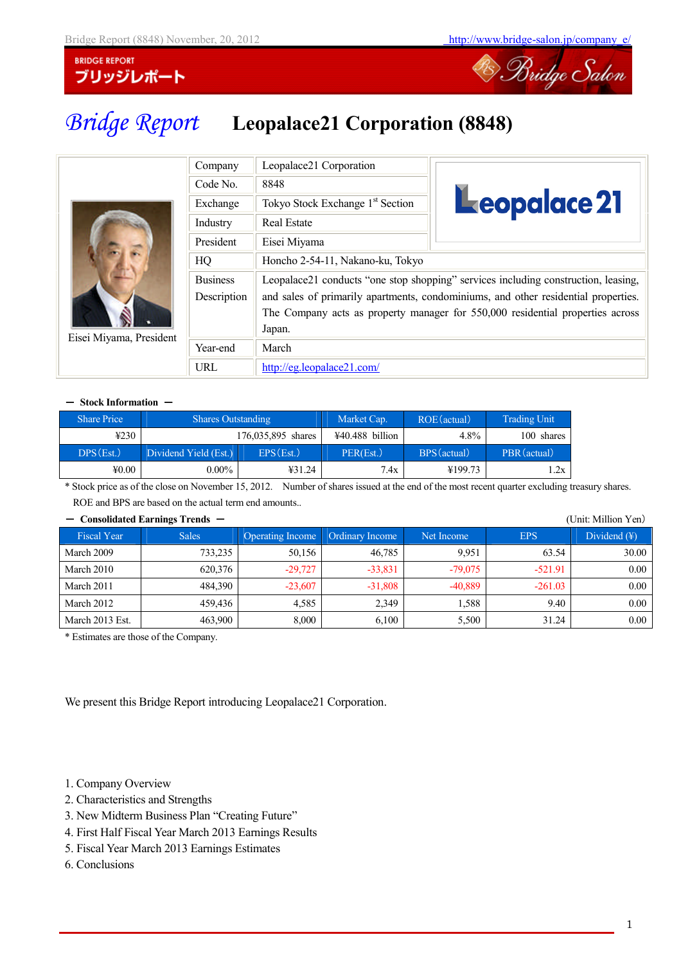

# *Bridge Report* **Leopalace21 Corporation (8848)**

|                         | Company                        | Leopalace21 Corporation                      |                                                                                                                                                                                                                                                            |  |  |
|-------------------------|--------------------------------|----------------------------------------------|------------------------------------------------------------------------------------------------------------------------------------------------------------------------------------------------------------------------------------------------------------|--|--|
| Eisei Miyama, President | Code No.                       | 8848                                         |                                                                                                                                                                                                                                                            |  |  |
|                         | Exchange                       | Tokyo Stock Exchange 1 <sup>st</sup> Section | Leopalace 21                                                                                                                                                                                                                                               |  |  |
|                         | Industry                       | <b>Real Estate</b>                           |                                                                                                                                                                                                                                                            |  |  |
|                         | President                      | Eisei Miyama                                 |                                                                                                                                                                                                                                                            |  |  |
|                         | HQ                             | Honcho 2-54-11, Nakano-ku, Tokyo             |                                                                                                                                                                                                                                                            |  |  |
|                         | <b>Business</b><br>Description | Japan.                                       | Leopalace21 conducts "one stop shopping" services including construction, leasing,<br>and sales of primarily apartments, condominiums, and other residential properties.<br>The Company acts as property manager for 550,000 residential properties across |  |  |
|                         | Year-end                       | March                                        |                                                                                                                                                                                                                                                            |  |  |
|                         | URL                            | http://eg.leopalace21.com/                   |                                                                                                                                                                                                                                                            |  |  |

#### - Stock Information -

| <b>Share Price</b> | <b>Shares Outstanding</b> |                    | Market Cap.       | ROE (actual) | <b>Trading Unit</b> |
|--------------------|---------------------------|--------------------|-------------------|--------------|---------------------|
| 4230               |                           | 176,035,895 shares | $440.488$ billion | $4.8\%$      | 100 shares          |
| DPS(Est.)          | Dividend Yield (Est.)     | EPS(Est.)          | PER(Est.)         | BPS (actual) | PBR (actual)        |
| 40.00              | $0.00\%$                  | 431.24             | 7.4x              | ¥199.73      | .2x                 |

\* Stock price as of the close on November 15, 2012. Number of shares issued at the end of the most recent quarter excluding treasury shares. ROE and BPS are based on the actual term end amounts..

### - **Consolidated Earnings Trends** - (Unit: Million Yen)

| Consondance Earlings Trends |              |                         |                 |            |            | UIII, IVIIIIII, IV       |
|-----------------------------|--------------|-------------------------|-----------------|------------|------------|--------------------------|
| <b>Fiscal Year</b>          | <b>Sales</b> | <b>Operating Income</b> | Ordinary Income | Net Income | <b>EPS</b> | Dividend $(\frac{1}{2})$ |
| March 2009                  | 733.235      | 50,156                  | 46.785          | 9.951      | 63.54      | 30.00                    |
| March 2010                  | 620,376      | $-29,727$               | $-33,831$       | $-79.075$  | $-521.91$  | 0.00                     |
| March 2011                  | 484.390      | $-23.607$               | $-31.808$       | $-40.889$  | $-261.03$  | 0.00                     |
| March 2012                  | 459.436      | 4.585                   | 2,349           | 1,588      | 9.40       | 0.00                     |
| March 2013 Est.             | 463.900      | 8,000                   | 6,100           | 5,500      | 31.24      | 0.00                     |

\* Estimates are those of the Company.

We present this Bridge Report introducing Leopalace21 Corporation.

- 1. Company Overview
- 2. Characteristics and Strengths
- 3. New Midterm Business Plan "Creating Future"
- 4. First Half Fiscal Year March 2013 Earnings Results
- 5. Fiscal Year March 2013 Earnings Estimates
- 6. Conclusions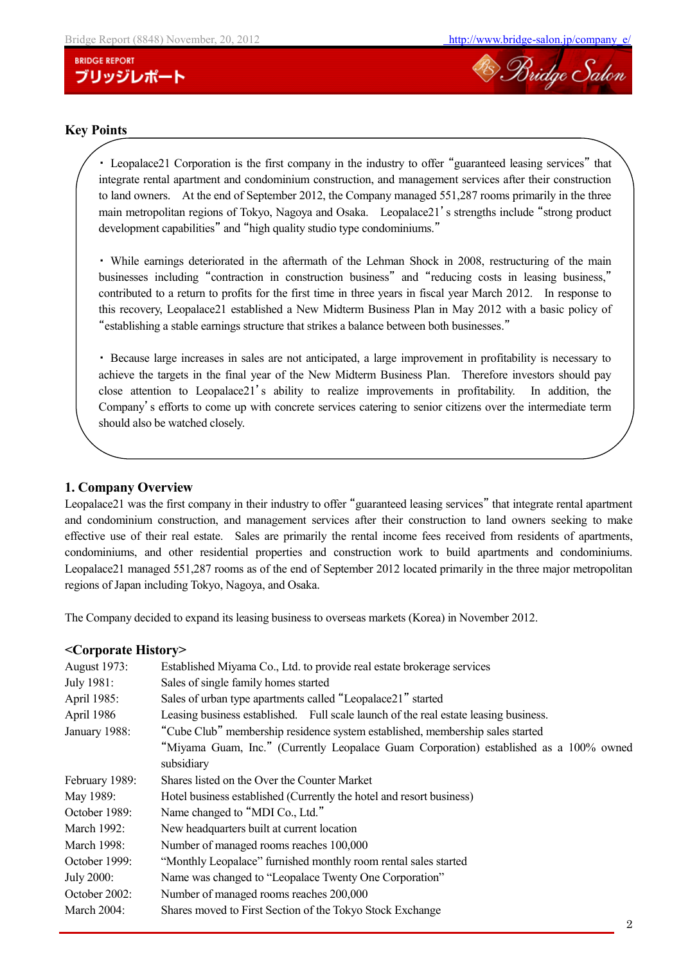

#### **Key Points**

・ Leopalace21 Corporation is the first company in the industry to offer "guaranteed leasing services" that integrate rental apartment and condominium construction, and management services after their construction to land owners. At the end of September 2012, the Company managed 551,287 rooms primarily in the three main metropolitan regions of Tokyo, Nagoya and Osaka. Leopalace21's strengths include "strong product development capabilities" and "high quality studio type condominiums."

・ While earnings deteriorated in the aftermath of the Lehman Shock in 2008, restructuring of the main businesses including "contraction in construction business" and "reducing costs in leasing business," contributed to a return to profits for the first time in three years in fiscal year March 2012. In response to this recovery, Leopalace21 established a New Midterm Business Plan in May 2012 with a basic policy of "establishing a stable earnings structure that strikes a balance between both businesses."

・ Because large increases in sales are not anticipated, a large improvement in profitability is necessary to achieve the targets in the final year of the New Midterm Business Plan. Therefore investors should pay close attention to Leopalace21's ability to realize improvements in profitability. In addition, the Company's efforts to come up with concrete services catering to senior citizens over the intermediate term should also be watched closely.

### **1. Company Overview**

Leopalace21 was the first company in their industry to offer "guaranteed leasing services" that integrate rental apartment and condominium construction, and management services after their construction to land owners seeking to make effective use of their real estate. Sales are primarily the rental income fees received from residents of apartments, condominiums, and other residential properties and construction work to build apartments and condominiums. Leopalace21 managed 551,287 rooms as of the end of September 2012 located primarily in the three major metropolitan regions of Japan including Tokyo, Nagoya, and Osaka.

The Company decided to expand its leasing business to overseas markets (Korea) in November 2012.

#### **<Corporate History>**

| <b>August 1973:</b> | Established Miyama Co., Ltd. to provide real estate brokerage services                 |
|---------------------|----------------------------------------------------------------------------------------|
| July 1981:          | Sales of single family homes started                                                   |
| April 1985:         | Sales of urban type apartments called "Leopalace21" started                            |
| April 1986          | Leasing business established. Full scale launch of the real estate leasing business.   |
| January 1988:       | "Cube Club" membership residence system established, membership sales started          |
|                     | "Miyama Guam, Inc." (Currently Leopalace Guam Corporation) established as a 100% owned |
|                     | subsidiary                                                                             |
| February 1989:      | Shares listed on the Over the Counter Market                                           |
| May 1989:           | Hotel business established (Currently the hotel and resort business)                   |
| October 1989:       | Name changed to "MDI Co., Ltd."                                                        |
| March 1992:         | New headquarters built at current location                                             |
| March 1998:         | Number of managed rooms reaches 100,000                                                |
| October 1999:       | "Monthly Leopalace" furnished monthly room rental sales started                        |
| July 2000:          | Name was changed to "Leopalace Twenty One Corporation"                                 |
| October 2002:       | Number of managed rooms reaches 200,000                                                |
| March 2004:         | Shares moved to First Section of the Tokyo Stock Exchange                              |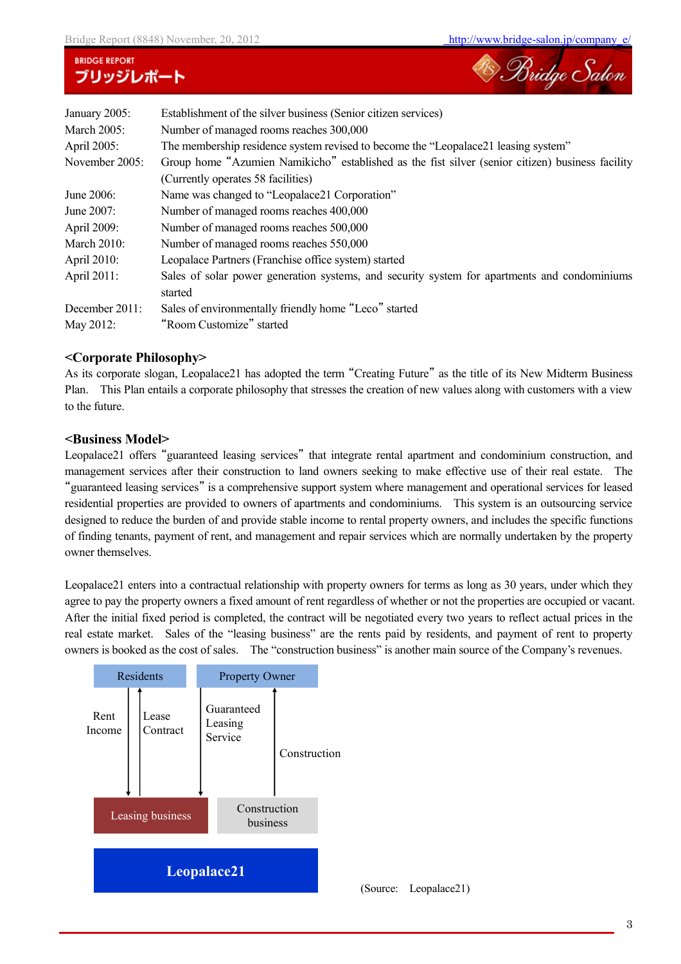Bridge Salon

| January 2005:  | Establishment of the silver business (Senior citizen services)                                   |  |  |  |  |  |
|----------------|--------------------------------------------------------------------------------------------------|--|--|--|--|--|
| March 2005:    | Number of managed rooms reaches 300,000                                                          |  |  |  |  |  |
| April 2005:    | The membership residence system revised to become the "Leopalace21 leasing system"               |  |  |  |  |  |
| November 2005: | Group home "Azumien Namikicho" established as the fist silver (senior citizen) business facility |  |  |  |  |  |
|                | (Currently operates 58 facilities)                                                               |  |  |  |  |  |
| June 2006:     | Name was changed to "Leopalace21 Corporation"                                                    |  |  |  |  |  |
| June 2007:     | Number of managed rooms reaches 400,000                                                          |  |  |  |  |  |
| April 2009:    | Number of managed rooms reaches 500,000                                                          |  |  |  |  |  |
| March $2010$ : | Number of managed rooms reaches 550,000                                                          |  |  |  |  |  |
| April 2010:    | Leopalace Partners (Franchise office system) started                                             |  |  |  |  |  |
| April 2011:    | Sales of solar power generation systems, and security system for apartments and condominiums     |  |  |  |  |  |
|                | started                                                                                          |  |  |  |  |  |
| December 2011: | Sales of environmentally friendly home "Leco" started                                            |  |  |  |  |  |
| May 2012:      | "Room Customize" started                                                                         |  |  |  |  |  |

## **<Corporate Philosophy>**

As its corporate slogan, Leopalace21 has adopted the term "Creating Future" as the title of its New Midterm Business Plan. This Plan entails a corporate philosophy that stresses the creation of new values along with customers with a view to the future.

## **<Business Model>**

Leopalace21 offers "guaranteed leasing services" that integrate rental apartment and condominium construction, and management services after their construction to land owners seeking to make effective use of their real estate. The "guaranteed leasing services" is a comprehensive support system where management and operational services for leased residential properties are provided to owners of apartments and condominiums. This system is an outsourcing service designed to reduce the burden of and provide stable income to rental property owners, and includes the specific functions of finding tenants, payment of rent, and management and repair services which are normally undertaken by the property owner themselves.

Leopalace21 enters into a contractual relationship with property owners for terms as long as 30 years, under which they agree to pay the property owners a fixed amount of rent regardless of whether or not the properties are occupied or vacant. After the initial fixed period is completed, the contract will be negotiated every two years to reflect actual prices in the real estate market. Sales of the "leasing business" are the rents paid by residents, and payment of rent to property owners is booked as the cost of sales. The "construction business" is another main source of the Company's revenues.

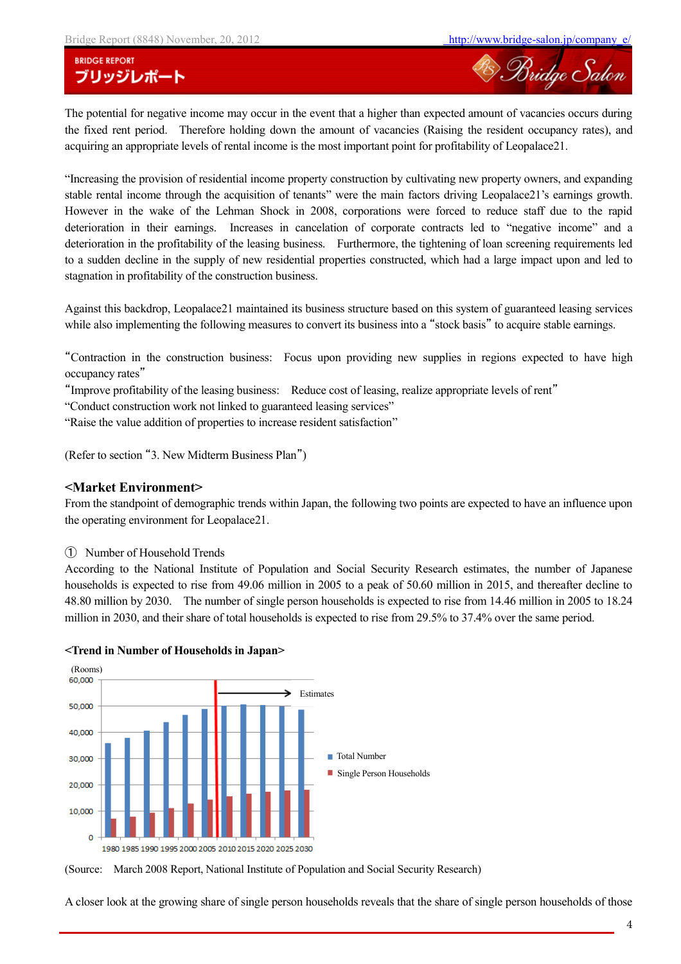<sup>28</sup> Bridge Salon

The potential for negative income may occur in the event that a higher than expected amount of vacancies occurs during the fixed rent period. Therefore holding down the amount of vacancies (Raising the resident occupancy rates), and acquiring an appropriate levels of rental income is the most important point for profitability of Leopalace21.

"Increasing the provision of residential income property construction by cultivating new property owners, and expanding stable rental income through the acquisition of tenants" were the main factors driving Leopalace21's earnings growth. However in the wake of the Lehman Shock in 2008, corporations were forced to reduce staff due to the rapid deterioration in their earnings. Increases in cancelation of corporate contracts led to "negative income" and a deterioration in the profitability of the leasing business. Furthermore, the tightening of loan screening requirements led to a sudden decline in the supply of new residential properties constructed, which had a large impact upon and led to stagnation in profitability of the construction business.

Against this backdrop, Leopalace21 maintained its business structure based on this system of guaranteed leasing services while also implementing the following measures to convert its business into a "stock basis" to acquire stable earnings.

"Contraction in the construction business: Focus upon providing new supplies in regions expected to have high occupancy rates"

"Improve profitability of the leasing business: Reduce cost of leasing, realize appropriate levels of rent"

"Conduct construction work not linked to guaranteed leasing services"

"Raise the value addition of properties to increase resident satisfaction"

(Refer to section "3. New Midterm Business Plan")

#### **<Market Environment>**

From the standpoint of demographic trends within Japan, the following two points are expected to have an influence upon the operating environment for Leopalace21.

① Number of Household Trends

According to the National Institute of Population and Social Security Research estimates, the number of Japanese households is expected to rise from 49.06 million in 2005 to a peak of 50.60 million in 2015, and thereafter decline to 48.80 million by 2030. The number of single person households is expected to rise from 14.46 million in 2005 to 18.24 million in 2030, and their share of total households is expected to rise from 29.5% to 37.4% over the same period.



#### **<Trend in Number of Households in Japan>**

(Source: March 2008 Report, National Institute of Population and Social Security Research)

A closer look at the growing share of single person households reveals that the share of single person households of those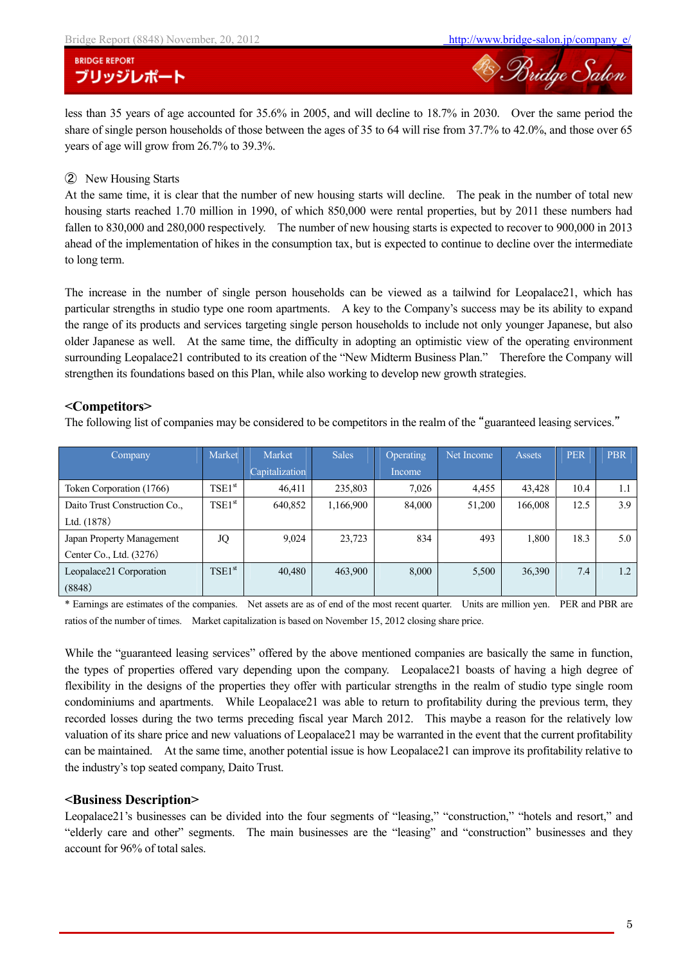Bridge Salon

## **BRIDGE REPORT** ブリッジレポート

less than 35 years of age accounted for 35.6% in 2005, and will decline to 18.7% in 2030. Over the same period the share of single person households of those between the ages of 35 to 64 will rise from 37.7% to 42.0%, and those over 65 years of age will grow from 26.7% to 39.3%.

#### ② New Housing Starts

At the same time, it is clear that the number of new housing starts will decline. The peak in the number of total new housing starts reached 1.70 million in 1990, of which 850,000 were rental properties, but by 2011 these numbers had fallen to 830,000 and 280,000 respectively. The number of new housing starts is expected to recover to 900,000 in 2013 ahead of the implementation of hikes in the consumption tax, but is expected to continue to decline over the intermediate to long term.

The increase in the number of single person households can be viewed as a tailwind for Leopalace21, which has particular strengths in studio type one room apartments. A key to the Company's success may be its ability to expand the range of its products and services targeting single person households to include not only younger Japanese, but also older Japanese as well. At the same time, the difficulty in adopting an optimistic view of the operating environment surrounding Leopalace21 contributed to its creation of the "New Midterm Business Plan." Therefore the Company will strengthen its foundations based on this Plan, while also working to develop new growth strategies.

### **<Competitors>**

The following list of companies may be considered to be competitors in the realm of the "guaranteed leasing services."

| <b>Company</b>                | Market      | Market         | <b>Sales</b> | <b>Operating</b> | Net Income | <b>Assets</b> | <b>PER</b> | <b>PBR</b> |
|-------------------------------|-------------|----------------|--------------|------------------|------------|---------------|------------|------------|
|                               |             | Capitalization |              | Income           |            |               |            |            |
| Token Corporation (1766)      | $TSE1^{st}$ | 46,411         | 235,803      | 7,026            | 4,455      | 43,428        | 10.4       | 1.1        |
| Daito Trust Construction Co., | $TSE1^{st}$ | 640,852        | 1,166,900    | 84.000           | 51,200     | 166,008       | 12.5       | 3.9        |
| Ltd. (1878)                   |             |                |              |                  |            |               |            |            |
| Japan Property Management     | JQ          | 9,024          | 23,723       | 834              | 493        | 1,800         | 18.3       | 5.0        |
| Center Co., Ltd. (3276)       |             |                |              |                  |            |               |            |            |
| Leopalace21 Corporation       | $TSE1^{st}$ | 40,480         | 463,900      | 8,000            | 5,500      | 36,390        | 7.4        | 1.2        |
| (8848)                        |             |                |              |                  |            |               |            |            |

\* Earnings are estimates of the companies. Net assets are as of end of the most recent quarter. Units are million yen. PER and PBR are ratios of the number of times. Market capitalization is based on November 15, 2012 closing share price.

While the "guaranteed leasing services" offered by the above mentioned companies are basically the same in function, the types of properties offered vary depending upon the company. Leopalace21 boasts of having a high degree of flexibility in the designs of the properties they offer with particular strengths in the realm of studio type single room condominiums and apartments. While Leopalace21 was able to return to profitability during the previous term, they recorded losses during the two terms preceding fiscal year March 2012. This maybe a reason for the relatively low valuation of its share price and new valuations of Leopalace21 may be warranted in the event that the current profitability can be maintained. At the same time, another potential issue is how Leopalace21 can improve its profitability relative to the industry's top seated company, Daito Trust.

### **<Business Description>**

Leopalace21's businesses can be divided into the four segments of "leasing," "construction," "hotels and resort," and "elderly care and other" segments. The main businesses are the "leasing" and "construction" businesses and they account for 96% of total sales.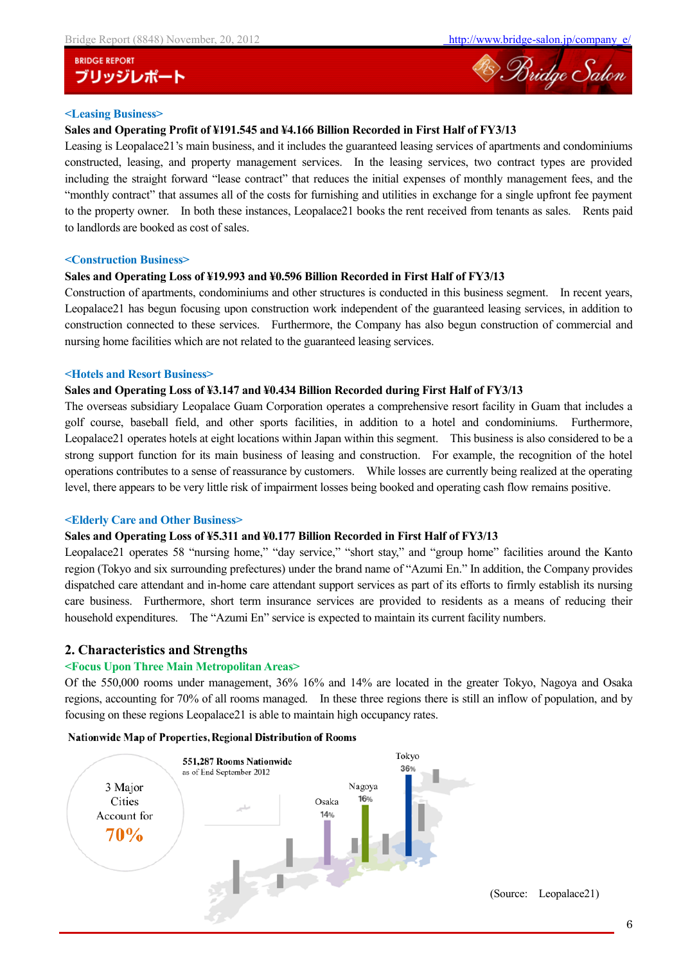

#### **<Leasing Business>**

#### **Sales and Operating Profit of ¥191.545 and ¥4.166 Billion Recorded in First Half of FY3/13**

Leasing is Leopalace21's main business, and it includes the guaranteed leasing services of apartments and condominiums constructed, leasing, and property management services. In the leasing services, two contract types are provided including the straight forward "lease contract" that reduces the initial expenses of monthly management fees, and the "monthly contract" that assumes all of the costs for furnishing and utilities in exchange for a single upfront fee payment to the property owner. In both these instances, Leopalace21 books the rent received from tenants as sales. Rents paid to landlords are booked as cost of sales.

#### **<Construction Business>**

#### **Sales and Operating Loss of ¥19.993 and ¥0.596 Billion Recorded in First Half of FY3/13**

Construction of apartments, condominiums and other structures is conducted in this business segment. In recent years, Leopalace21 has begun focusing upon construction work independent of the guaranteed leasing services, in addition to construction connected to these services. Furthermore, the Company has also begun construction of commercial and nursing home facilities which are not related to the guaranteed leasing services.

#### **<Hotels and Resort Business>**

#### **Sales and Operating Loss of ¥3.147 and ¥0.434 Billion Recorded during First Half of FY3/13**

The overseas subsidiary Leopalace Guam Corporation operates a comprehensive resort facility in Guam that includes a golf course, baseball field, and other sports facilities, in addition to a hotel and condominiums. Furthermore, Leopalace21 operates hotels at eight locations within Japan within this segment. This business is also considered to be a strong support function for its main business of leasing and construction. For example, the recognition of the hotel operations contributes to a sense of reassurance by customers. While losses are currently being realized at the operating level, there appears to be very little risk of impairment losses being booked and operating cash flow remains positive.

#### **<Elderly Care and Other Business>**

#### **Sales and Operating Loss of ¥5.311 and ¥0.177 Billion Recorded in First Half of FY3/13**

Leopalace21 operates 58 "nursing home," "day service," "short stay," and "group home" facilities around the Kanto region (Tokyo and six surrounding prefectures) under the brand name of "Azumi En." In addition, the Company provides dispatched care attendant and in-home care attendant support services as part of its efforts to firmly establish its nursing care business. Furthermore, short term insurance services are provided to residents as a means of reducing their household expenditures. The "Azumi En" service is expected to maintain its current facility numbers.

### **2. Characteristics and Strengths**

#### **<Focus Upon Three Main Metropolitan Areas>**

Of the 550,000 rooms under management, 36% 16% and 14% are located in the greater Tokyo, Nagoya and Osaka regions, accounting for 70% of all rooms managed. In these three regions there is still an inflow of population, and by focusing on these regions Leopalace21 is able to maintain high occupancy rates.



#### **Nationwide Map of Properties, Regional Distribution of Rooms**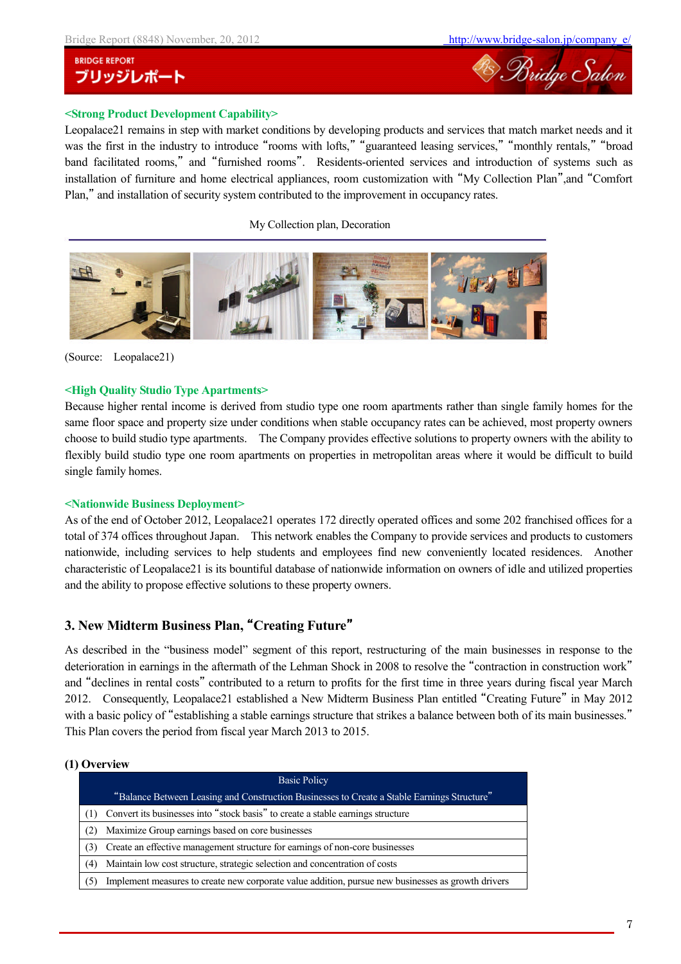

## **<Strong Product Development Capability>**

Leopalace21 remains in step with market conditions by developing products and services that match market needs and it was the first in the industry to introduce "rooms with lofts," "guaranteed leasing services," "monthly rentals," "broad band facilitated rooms," and "furnished rooms". Residents-oriented services and introduction of systems such as installation of furniture and home electrical appliances, room customization with "My Collection Plan",and "Comfort Plan," and installation of security system contributed to the improvement in occupancy rates.

My Collection plan, Decoration



(Source: Leopalace21)

#### **<High Quality Studio Type Apartments>**

Because higher rental income is derived from studio type one room apartments rather than single family homes for the same floor space and property size under conditions when stable occupancy rates can be achieved, most property owners choose to build studio type apartments. The Company provides effective solutions to property owners with the ability to flexibly build studio type one room apartments on properties in metropolitan areas where it would be difficult to build single family homes.

#### **<Nationwide Business Deployment>**

As of the end of October 2012, Leopalace21 operates 172 directly operated offices and some 202 franchised offices for a total of 374 offices throughout Japan. This network enables the Company to provide services and products to customers nationwide, including services to help students and employees find new conveniently located residences. Another characteristic of Leopalace21 is its bountiful database of nationwide information on owners of idle and utilized properties and the ability to propose effective solutions to these property owners.

## **3. New Midterm Business Plan,** "**Creating Future**"

As described in the "business model" segment of this report, restructuring of the main businesses in response to the deterioration in earnings in the aftermath of the Lehman Shock in 2008 to resolve the "contraction in construction work" and "declines in rental costs" contributed to a return to profits for the first time in three years during fiscal year March 2012. Consequently, Leopalace21 established a New Midterm Business Plan entitled "Creating Future" in May 2012 with a basic policy of "establishing a stable earnings structure that strikes a balance between both of its main businesses." This Plan covers the period from fiscal year March 2013 to 2015.

#### **(1) Overview**

|     | <b>Basic Policy</b>                                                                                |
|-----|----------------------------------------------------------------------------------------------------|
|     | "Balance Between Leasing and Construction Businesses to Create a Stable Earnings Structure"        |
|     | Convert its businesses into "stock basis" to create a stable earnings structure                    |
| (2) | Maximize Group earnings based on core businesses                                                   |
| 3)  | Create an effective management structure for earnings of non-core businesses                       |
| (4) | Maintain low cost structure, strategic selection and concentration of costs                        |
| (5) | Implement measures to create new corporate value addition, pursue new businesses as growth drivers |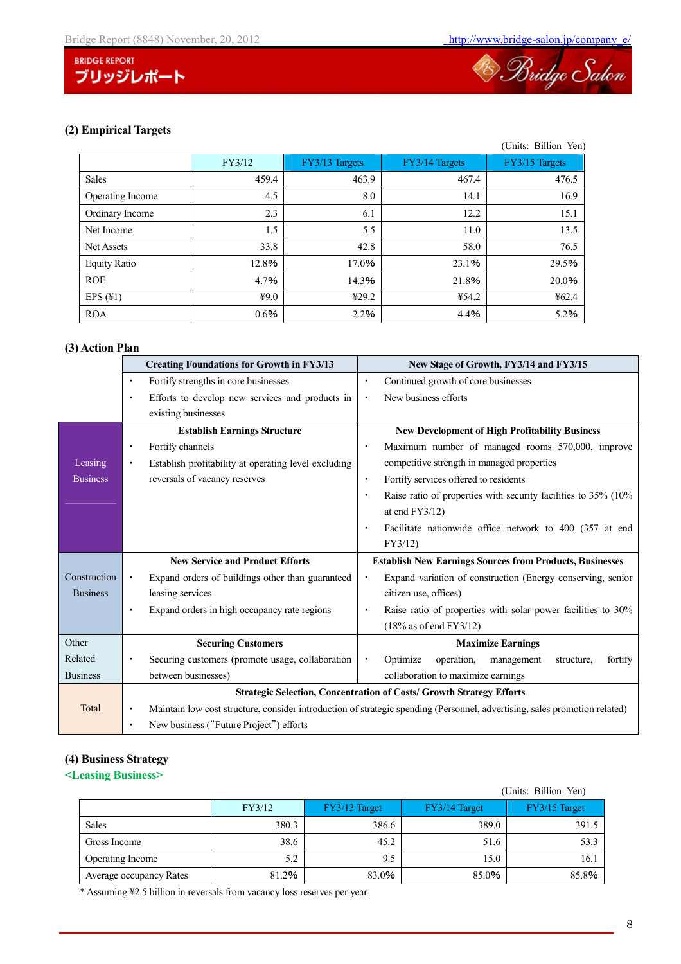

## **(2) Empirical Targets**

|                     |        |                |                | (Units: Billion Yen) |
|---------------------|--------|----------------|----------------|----------------------|
|                     | FY3/12 | FY3/13 Targets | FY3/14 Targets | FY3/15 Targets       |
| <b>Sales</b>        | 459.4  | 463.9          | 467.4          | 476.5                |
| Operating Income    | 4.5    | 8.0            | 14.1           | 16.9                 |
| Ordinary Income     | 2.3    | 6.1            | 12.2           | 15.1                 |
| Net Income          | 1.5    | 5.5            | 11.0           | 13.5                 |
| Net Assets          | 33.8   | 42.8           | 58.0           | 76.5                 |
| <b>Equity Ratio</b> | 12.8%  | 17.0%          | 23.1%          | 29.5%                |
| <b>ROE</b>          | 4.7%   | 14.3%          | 21.8%          | 20.0%                |
| EPS $(41)$          | 49.0   | 429.2          | ¥54.2          | ¥62.4                |
| <b>ROA</b>          | 0.6%   | 2.2%           | 4.4%           | 5.2%                 |

## **(3) Action Plan**

|                 | <b>Creating Foundations for Growth in FY3/13</b>          | New Stage of Growth, FY3/14 and FY3/15                                                                                     |  |  |
|-----------------|-----------------------------------------------------------|----------------------------------------------------------------------------------------------------------------------------|--|--|
|                 | Fortify strengths in core businesses<br>٠                 | Continued growth of core businesses                                                                                        |  |  |
|                 | Efforts to develop new services and products in<br>٠      | New business efforts<br>٠                                                                                                  |  |  |
|                 | existing businesses                                       |                                                                                                                            |  |  |
|                 | <b>Establish Earnings Structure</b>                       | <b>New Development of High Profitability Business</b>                                                                      |  |  |
|                 | Fortify channels<br>٠                                     | Maximum number of managed rooms 570,000, improve                                                                           |  |  |
| Leasing         | Establish profitability at operating level excluding<br>٠ | competitive strength in managed properties                                                                                 |  |  |
| <b>Business</b> | reversals of vacancy reserves                             | Fortify services offered to residents<br>٠                                                                                 |  |  |
|                 |                                                           | Raise ratio of properties with security facilities to 35% (10%)                                                            |  |  |
|                 |                                                           | at end $FY3/12)$                                                                                                           |  |  |
|                 |                                                           | Facilitate nationwide office network to 400 (357 at end                                                                    |  |  |
|                 |                                                           | FY3/12)                                                                                                                    |  |  |
|                 | <b>New Service and Product Efforts</b>                    | <b>Establish New Earnings Sources from Products, Businesses</b>                                                            |  |  |
| Construction    | Expand orders of buildings other than guaranteed<br>٠     | Expand variation of construction (Energy conserving, senior                                                                |  |  |
| <b>Business</b> | leasing services                                          | citizen use, offices)                                                                                                      |  |  |
|                 | Expand orders in high occupancy rate regions<br>٠         | Raise ratio of properties with solar power facilities to 30%                                                               |  |  |
|                 |                                                           | $(18\%$ as of end FY3/12)                                                                                                  |  |  |
| Other           | <b>Securing Customers</b>                                 | <b>Maximize Earnings</b>                                                                                                   |  |  |
| Related         | Securing customers (promote usage, collaboration          | Optimize<br>operation,<br>management<br>fortify<br>structure.                                                              |  |  |
| <b>Business</b> | between businesses)                                       | collaboration to maximize earnings                                                                                         |  |  |
|                 |                                                           | <b>Strategic Selection, Concentration of Costs/ Growth Strategy Efforts</b>                                                |  |  |
| Total           | ٠                                                         | Maintain low cost structure, consider introduction of strategic spending (Personnel, advertising, sales promotion related) |  |  |
|                 | New business ("Future Project") efforts<br>٠              |                                                                                                                            |  |  |

## **(4) Business Strategy**

## **<Leasing Business>**

|                         |        |               |               | (Units: Billion Yen) |
|-------------------------|--------|---------------|---------------|----------------------|
|                         | FY3/12 | FY3/13 Target | FY3/14 Target | FY3/15 Target        |
| <b>Sales</b>            | 380.3  | 386.6         | 389.0         | 391.5                |
| Gross Income            | 38.6   | 45.2          | 51.6          | 53.3                 |
| <b>Operating Income</b> | 5.2    | 9.5           | 15.0          | 16.1                 |
| Average occupancy Rates | 81.2%  | 83.0%         | 85.0%         | 85.8%                |

\* Assuming ¥2.5 billion in reversals from vacancy loss reserves per year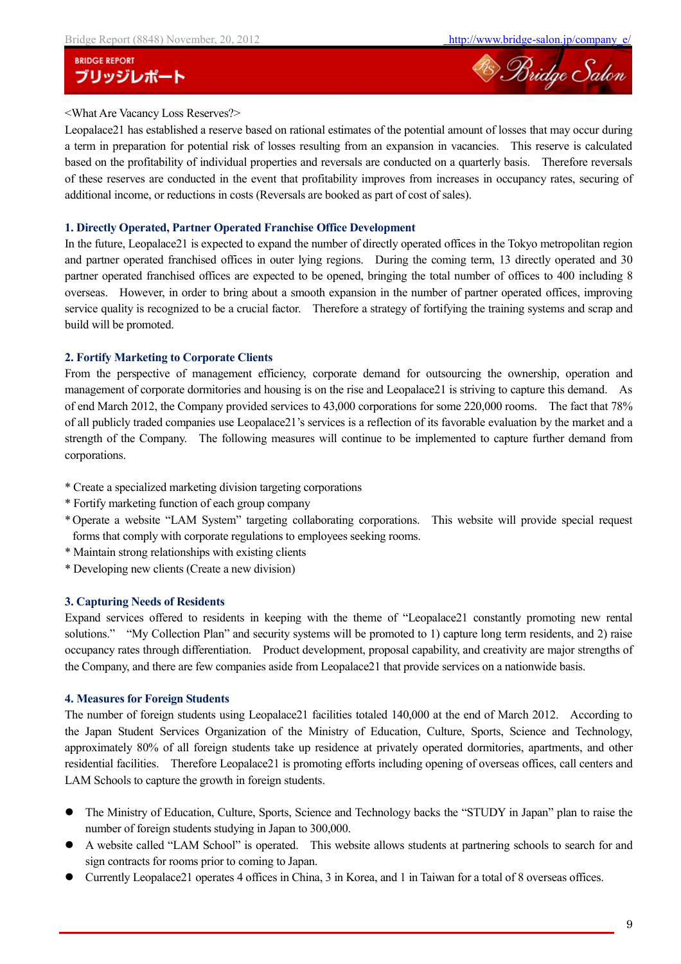

## <What Are Vacancy Loss Reserves?>

Leopalace21 has established a reserve based on rational estimates of the potential amount of losses that may occur during a term in preparation for potential risk of losses resulting from an expansion in vacancies. This reserve is calculated based on the profitability of individual properties and reversals are conducted on a quarterly basis. Therefore reversals of these reserves are conducted in the event that profitability improves from increases in occupancy rates, securing of additional income, or reductions in costs (Reversals are booked as part of cost of sales).

#### **1. Directly Operated, Partner Operated Franchise Office Development**

In the future, Leopalace21 is expected to expand the number of directly operated offices in the Tokyo metropolitan region and partner operated franchised offices in outer lying regions. During the coming term, 13 directly operated and 30 partner operated franchised offices are expected to be opened, bringing the total number of offices to 400 including 8 overseas. However, in order to bring about a smooth expansion in the number of partner operated offices, improving service quality is recognized to be a crucial factor. Therefore a strategy of fortifying the training systems and scrap and build will be promoted.

#### **2. Fortify Marketing to Corporate Clients**

From the perspective of management efficiency, corporate demand for outsourcing the ownership, operation and management of corporate dormitories and housing is on the rise and Leopalace21 is striving to capture this demand. As of end March 2012, the Company provided services to 43,000 corporations for some 220,000 rooms. The fact that 78% of all publicly traded companies use Leopalace21's services is a reflection of its favorable evaluation by the market and a strength of the Company. The following measures will continue to be implemented to capture further demand from corporations.

- \* Create a specialized marketing division targeting corporations
- \* Fortify marketing function of each group company
- \*Operate a website "LAM System" targeting collaborating corporations. This website will provide special request forms that comply with corporate regulations to employees seeking rooms.
- \* Maintain strong relationships with existing clients
- \* Developing new clients (Create a new division)

#### **3. Capturing Needs of Residents**

Expand services offered to residents in keeping with the theme of "Leopalace21 constantly promoting new rental solutions." "My Collection Plan" and security systems will be promoted to 1) capture long term residents, and 2) raise occupancy rates through differentiation. Product development, proposal capability, and creativity are major strengths of the Company, and there are few companies aside from Leopalace21 that provide services on a nationwide basis.

#### **4. Measures for Foreign Students**

The number of foreign students using Leopalace21 facilities totaled 140,000 at the end of March 2012. According to the Japan Student Services Organization of the Ministry of Education, Culture, Sports, Science and Technology, approximately 80% of all foreign students take up residence at privately operated dormitories, apartments, and other residential facilities. Therefore Leopalace21 is promoting efforts including opening of overseas offices, call centers and LAM Schools to capture the growth in foreign students.

- The Ministry of Education, Culture, Sports, Science and Technology backs the "STUDY in Japan" plan to raise the number of foreign students studying in Japan to 300,000.
- A website called "LAM School" is operated. This website allows students at partnering schools to search for and sign contracts for rooms prior to coming to Japan.
- Currently Leopalace21 operates 4 offices in China, 3 in Korea, and 1 in Taiwan for a total of 8 overseas offices.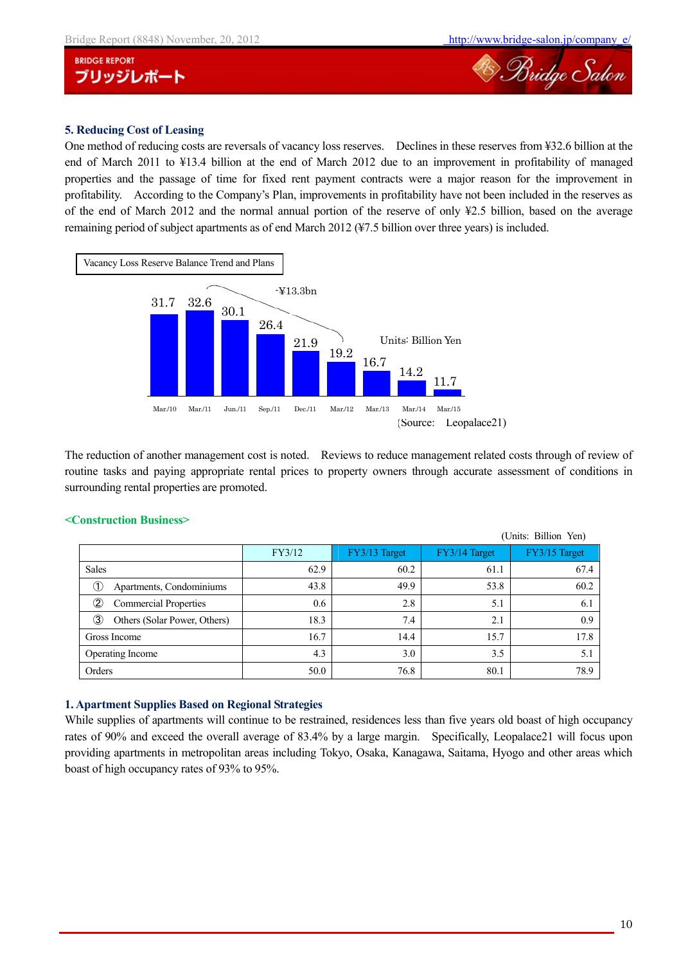



## **5. Reducing Cost of Leasing**

One method of reducing costs are reversals of vacancy loss reserves. Declines in these reserves from ¥32.6 billion at the end of March 2011 to ¥13.4 billion at the end of March 2012 due to an improvement in profitability of managed properties and the passage of time for fixed rent payment contracts were a major reason for the improvement in profitability. According to the Company's Plan, improvements in profitability have not been included in the reserves as of the end of March 2012 and the normal annual portion of the reserve of only ¥2.5 billion, based on the average remaining period of subject apartments as of end March 2012 (¥7.5 billion over three years) is included.



The reduction of another management cost is noted. Reviews to reduce management related costs through of review of routine tasks and paying appropriate rental prices to property owners through accurate assessment of conditions in surrounding rental properties are promoted.

|                                               |        |               |               | (Units: Billion Yen) |
|-----------------------------------------------|--------|---------------|---------------|----------------------|
|                                               | FY3/12 | FY3/13 Target | FY3/14 Target | FY3/15 Target        |
| <b>Sales</b>                                  | 62.9   | 60.2          | 61.1          | 67.4                 |
| Œ,<br>Apartments, Condominiums                | 43.8   | 49.9          | 53.8          | 60.2                 |
| $^\copyright$<br><b>Commercial Properties</b> | 0.6    | 2.8           | 5.1           | 6.1                  |
| (3)<br>Others (Solar Power, Others)           | 18.3   | 7.4           | 2.1           | 0.9                  |
| Gross Income                                  | 16.7   | 14.4          | 15.7          | 17.8                 |
| Operating Income                              | 4.3    | 3.0           | 3.5           | 5.1                  |
| Orders                                        | 50.0   | 76.8          | 80.1          | 78.9                 |

## **<Construction Business>**

#### **1. Apartment Supplies Based on Regional Strategies**

While supplies of apartments will continue to be restrained, residences less than five years old boast of high occupancy rates of 90% and exceed the overall average of 83.4% by a large margin. Specifically, Leopalace21 will focus upon providing apartments in metropolitan areas including Tokyo, Osaka, Kanagawa, Saitama, Hyogo and other areas which boast of high occupancy rates of 93% to 95%.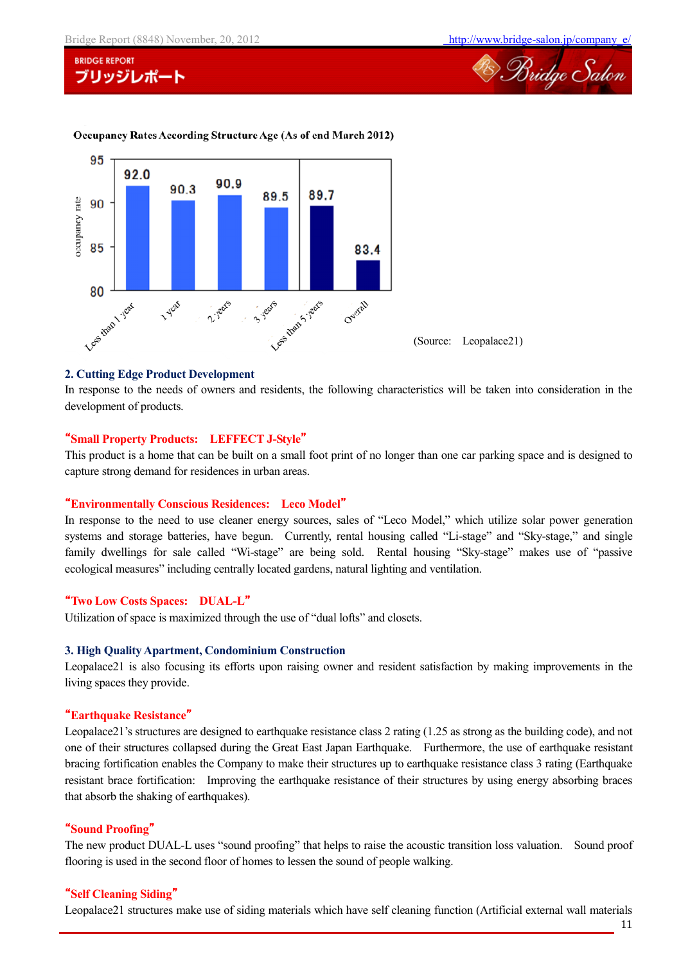

#### Occupancy Rates According Structure Age (As of end March 2012)



#### **2. Cutting Edge Product Development**

In response to the needs of owners and residents, the following characteristics will be taken into consideration in the development of products.

#### "**Small Property Products: LEFFECT J-Style**"

This product is a home that can be built on a small foot print of no longer than one car parking space and is designed to capture strong demand for residences in urban areas.

#### "**Environmentally Conscious Residences: Leco Model**"

In response to the need to use cleaner energy sources, sales of "Leco Model," which utilize solar power generation systems and storage batteries, have begun. Currently, rental housing called "Li-stage" and "Sky-stage," and single family dwellings for sale called "Wi-stage" are being sold. Rental housing "Sky-stage" makes use of "passive ecological measures" including centrally located gardens, natural lighting and ventilation.

#### "**Two Low Costs Spaces: DUAL-L**"

Utilization of space is maximized through the use of "dual lofts" and closets.

#### **3. High Quality Apartment, Condominium Construction**

Leopalace21 is also focusing its efforts upon raising owner and resident satisfaction by making improvements in the living spaces they provide.

#### "**Earthquake Resistance**"

Leopalace21's structures are designed to earthquake resistance class 2 rating (1.25 as strong as the building code), and not one of their structures collapsed during the Great East Japan Earthquake. Furthermore, the use of earthquake resistant bracing fortification enables the Company to make their structures up to earthquake resistance class 3 rating (Earthquake resistant brace fortification: Improving the earthquake resistance of their structures by using energy absorbing braces that absorb the shaking of earthquakes).

#### "**Sound Proofing**"

The new product DUAL-L uses "sound proofing" that helps to raise the acoustic transition loss valuation. Sound proof flooring is used in the second floor of homes to lessen the sound of people walking.

#### "**Self Cleaning Siding**"

Leopalace21 structures make use of siding materials which have self cleaning function (Artificial external wall materials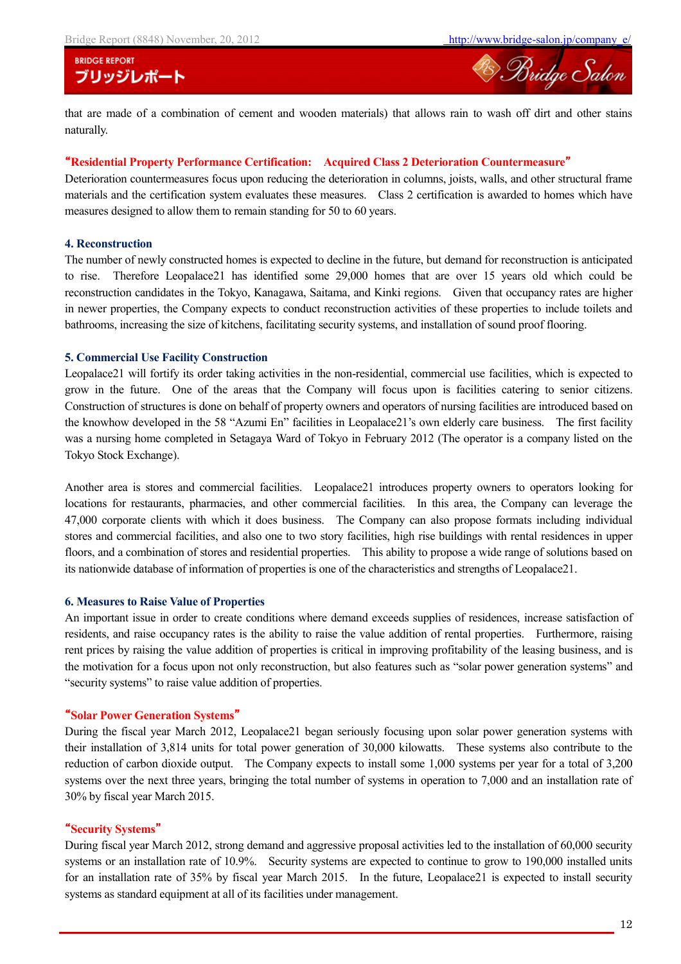

that are made of a combination of cement and wooden materials) that allows rain to wash off dirt and other stains naturally.

#### "**Residential Property Performance Certification: Acquired Class 2 Deterioration Countermeasure**"

Deterioration countermeasures focus upon reducing the deterioration in columns, joists, walls, and other structural frame materials and the certification system evaluates these measures. Class 2 certification is awarded to homes which have measures designed to allow them to remain standing for 50 to 60 years.

### **4. Reconstruction**

The number of newly constructed homes is expected to decline in the future, but demand for reconstruction is anticipated to rise. Therefore Leopalace21 has identified some 29,000 homes that are over 15 years old which could be reconstruction candidates in the Tokyo, Kanagawa, Saitama, and Kinki regions. Given that occupancy rates are higher in newer properties, the Company expects to conduct reconstruction activities of these properties to include toilets and bathrooms, increasing the size of kitchens, facilitating security systems, and installation of sound proof flooring.

#### **5. Commercial Use Facility Construction**

Leopalace21 will fortify its order taking activities in the non-residential, commercial use facilities, which is expected to grow in the future. One of the areas that the Company will focus upon is facilities catering to senior citizens. Construction of structures is done on behalf of property owners and operators of nursing facilities are introduced based on the knowhow developed in the 58 "Azumi En" facilities in Leopalace21's own elderly care business. The first facility was a nursing home completed in Setagaya Ward of Tokyo in February 2012 (The operator is a company listed on the Tokyo Stock Exchange).

Another area is stores and commercial facilities. Leopalace21 introduces property owners to operators looking for locations for restaurants, pharmacies, and other commercial facilities. In this area, the Company can leverage the 47,000 corporate clients with which it does business. The Company can also propose formats including individual stores and commercial facilities, and also one to two story facilities, high rise buildings with rental residences in upper floors, and a combination of stores and residential properties. This ability to propose a wide range of solutions based on its nationwide database of information of properties is one of the characteristics and strengths of Leopalace21.

#### **6. Measures to Raise Value of Properties**

An important issue in order to create conditions where demand exceeds supplies of residences, increase satisfaction of residents, and raise occupancy rates is the ability to raise the value addition of rental properties. Furthermore, raising rent prices by raising the value addition of properties is critical in improving profitability of the leasing business, and is the motivation for a focus upon not only reconstruction, but also features such as "solar power generation systems" and "security systems" to raise value addition of properties.

#### "**Solar Power Generation Systems**"

During the fiscal year March 2012, Leopalace21 began seriously focusing upon solar power generation systems with their installation of 3,814 units for total power generation of 30,000 kilowatts. These systems also contribute to the reduction of carbon dioxide output. The Company expects to install some 1,000 systems per year for a total of 3,200 systems over the next three years, bringing the total number of systems in operation to 7,000 and an installation rate of 30% by fiscal year March 2015.

#### "**Security Systems**"

During fiscal year March 2012, strong demand and aggressive proposal activities led to the installation of 60,000 security systems or an installation rate of 10.9%. Security systems are expected to continue to grow to 190,000 installed units for an installation rate of 35% by fiscal year March 2015. In the future, Leopalace21 is expected to install security systems as standard equipment at all of its facilities under management.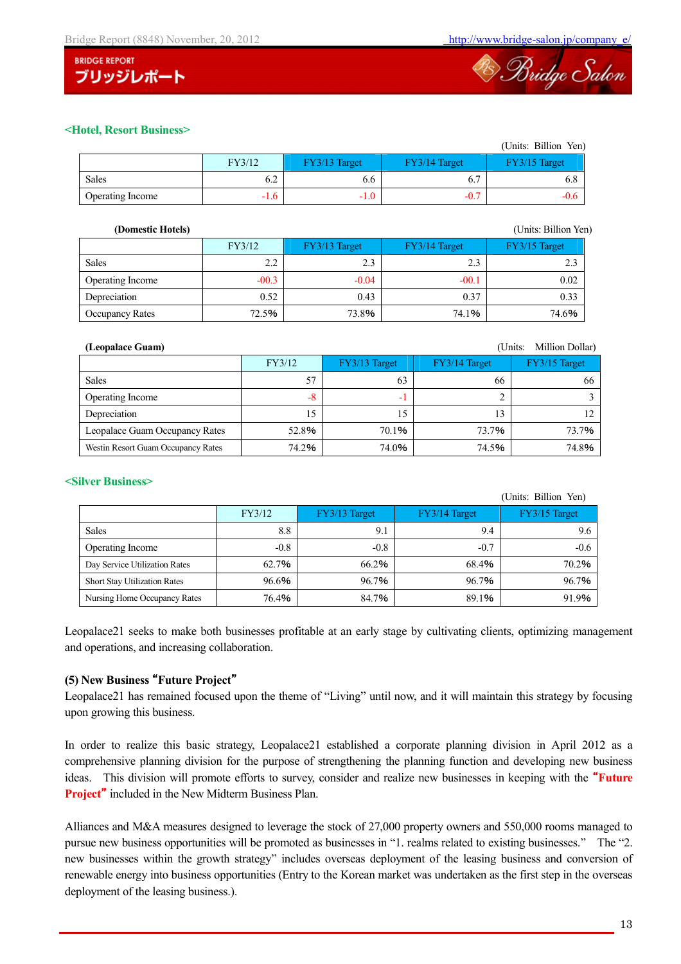



## **<Hotel, Resort Business>**

|                  |        |               |               | (Units: Billion Yen |
|------------------|--------|---------------|---------------|---------------------|
|                  | FY3/12 | FY3/13 Target | FY3/14 Target | FY3/15 Target       |
| Sales            | 6.2    | 6.0           | 6.            | 6.8                 |
| Operating Income | $-1.6$ | $-1.0$        | $-0.7$        | $-0.6$              |

| (Domestic Hotels) |         |               |               | (Units: Billion Yen) |
|-------------------|---------|---------------|---------------|----------------------|
|                   | FY3/12  | FY3/13 Target | FY3/14 Target | FY3/15 Target        |
| <b>Sales</b>      | 2.2     | 2.3           | 2.3           | 2.3                  |
| Operating Income  | $-00.3$ | $-0.04$       | $-00.1$       | 0.02                 |
| Depreciation      | 0.52    | 0.43          | 0.37          | 0.33                 |
| Occupancy Rates   | 72.5%   | 73.8%         | 74.1%         | 74.6%                |

| Million Dollar)<br>(Leopalace Guam)<br>(Units: |        |               |               |               |  |  |
|------------------------------------------------|--------|---------------|---------------|---------------|--|--|
|                                                | FY3/12 | FY3/13 Target | FY3/14 Target | FY3/15 Target |  |  |
| <b>Sales</b>                                   | 57     | 63            | 66            | 66            |  |  |
| Operating Income                               | $-8$   | ÷             |               |               |  |  |
| Depreciation                                   |        | 15            | 13            |               |  |  |
| Leopalace Guam Occupancy Rates                 | 52.8%  | 70.1%         | 73.7%         | 73.7%         |  |  |
| Westin Resort Guam Occupancy Rates             | 74.2%  | 74.0%         | 74.5%         | 74.8%         |  |  |

## **<Silver Business>**

|                                     |        |               |               | (Units: Billion Yen) |
|-------------------------------------|--------|---------------|---------------|----------------------|
|                                     | FY3/12 | FY3/13 Target | FY3/14 Target | FY3/15 Target        |
| <b>Sales</b>                        | 8.8    | 9.1           | 9.4           | 9.6                  |
| Operating Income                    | $-0.8$ | $-0.8$        | $-0.7$        | $-0.6$               |
| Day Service Utilization Rates       | 62.7%  | 66.2%         | 68.4%         | 70.2%                |
| <b>Short Stay Utilization Rates</b> | 96.6%  | 96.7%         | 96.7%         | 96.7%                |
| Nursing Home Occupancy Rates        | 76.4%  | 84.7%         | 89.1%         | 91.9%                |

Leopalace21 seeks to make both businesses profitable at an early stage by cultivating clients, optimizing management and operations, and increasing collaboration.

## **(5) New Business** "**Future Project**"

Leopalace21 has remained focused upon the theme of "Living" until now, and it will maintain this strategy by focusing upon growing this business.

In order to realize this basic strategy, Leopalace21 established a corporate planning division in April 2012 as a comprehensive planning division for the purpose of strengthening the planning function and developing new business ideas. This division will promote efforts to survey, consider and realize new businesses in keeping with the "**Future Project**" included in the New Midterm Business Plan.

Alliances and M&A measures designed to leverage the stock of 27,000 property owners and 550,000 rooms managed to pursue new business opportunities will be promoted as businesses in "1. realms related to existing businesses." The "2. new businesses within the growth strategy" includes overseas deployment of the leasing business and conversion of renewable energy into business opportunities (Entry to the Korean market was undertaken as the first step in the overseas deployment of the leasing business.).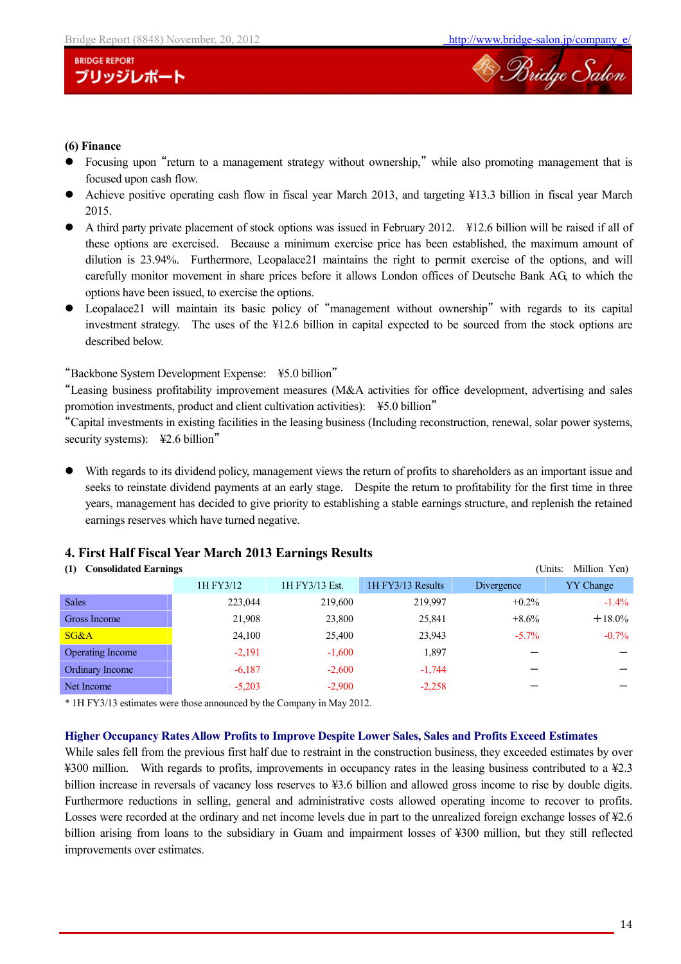

## **(6) Finance**

- Focusing upon "return to a management strategy without ownership," while also promoting management that is focused upon cash flow.
- Achieve positive operating cash flow in fiscal year March 2013, and targeting ¥13.3 billion in fiscal year March 2015.
- A third party private placement of stock options was issued in February 2012. ¥12.6 billion will be raised if all of these options are exercised. Because a minimum exercise price has been established, the maximum amount of dilution is 23.94%. Furthermore, Leopalace21 maintains the right to permit exercise of the options, and will carefully monitor movement in share prices before it allows London offices of Deutsche Bank AG, to which the options have been issued, to exercise the options.
- Leopalace21 will maintain its basic policy of "management without ownership" with regards to its capital investment strategy. The uses of the ¥12.6 billion in capital expected to be sourced from the stock options are described below.

## "Backbone System Development Expense: ¥5.0 billion"

"Leasing business profitability improvement measures (M&A activities for office development, advertising and sales promotion investments, product and client cultivation activities): ¥5.0 billion"

"Capital investments in existing facilities in the leasing business (Including reconstruction, renewal, solar power systems, security systems): ¥2.6 billion"

 With regards to its dividend policy, management views the return of profits to shareholders as an important issue and seeks to reinstate dividend payments at an early stage. Despite the return to profitability for the first time in three years, management has decided to give priority to establishing a stable earnings structure, and replenish the retained earnings reserves which have turned negative.

## **4. First Half Fiscal Year March 2013 Earnings Results**

#### **(1) Consolidated Earnings** (Units: Million Yen)

| $(1)$ Consonance $\mathbf{L}$ an mings<br>$\sum_{i=1}^{n}$ |           |                |                   |            |                  |  |
|------------------------------------------------------------|-----------|----------------|-------------------|------------|------------------|--|
|                                                            | 1H FY3/12 | 1H FY3/13 Est. | 1H FY3/13 Results | Divergence | <b>YY</b> Change |  |
| <b>Sales</b>                                               | 223,044   | 219,600        | 219,997           | $+0.2\%$   | $-1.4\%$         |  |
| Gross Income                                               | 21,908    | 23,800         | 25,841            | $+8.6\%$   | $+18.0\%$        |  |
| SG&A                                                       | 24,100    | 25,400         | 23,943            | $-5.7\%$   | $-0.7\%$         |  |
| <b>Operating Income</b>                                    | $-2,191$  | $-1,600$       | 1,897             |            |                  |  |
| Ordinary Income                                            | $-6,187$  | $-2,600$       | $-1,744$          |            |                  |  |
| Net Income                                                 | $-5,203$  | $-2,900$       | $-2,258$          |            |                  |  |
|                                                            |           |                |                   |            |                  |  |

\* 1H FY3/13 estimates were those announced by the Company in May 2012.

#### **Higher Occupancy Rates Allow Profits to Improve Despite Lower Sales, Sales and Profits Exceed Estimates**

While sales fell from the previous first half due to restraint in the construction business, they exceeded estimates by over ¥300 million. With regards to profits, improvements in occupancy rates in the leasing business contributed to a ¥2.3 billion increase in reversals of vacancy loss reserves to ¥3.6 billion and allowed gross income to rise by double digits. Furthermore reductions in selling, general and administrative costs allowed operating income to recover to profits. Losses were recorded at the ordinary and net income levels due in part to the unrealized foreign exchange losses of ¥2.6 billion arising from loans to the subsidiary in Guam and impairment losses of ¥300 million, but they still reflected improvements over estimates.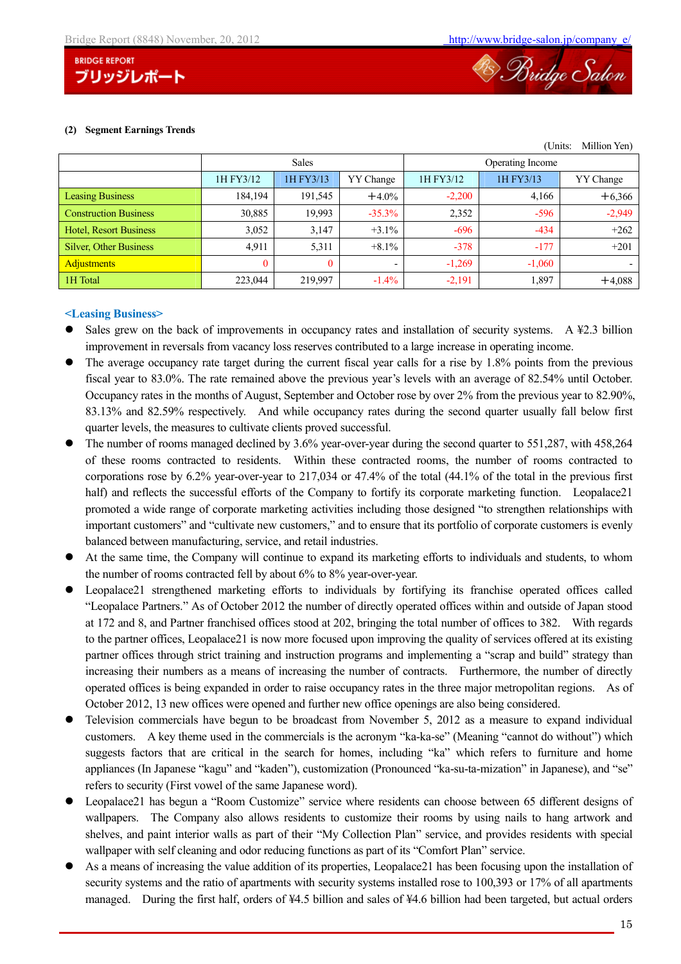



#### **(2) Segment Earnings Trends**

| Million Yen)<br>(Units:       |           |              |           |                  |           |           |  |
|-------------------------------|-----------|--------------|-----------|------------------|-----------|-----------|--|
|                               |           | <b>Sales</b> |           | Operating Income |           |           |  |
|                               | 1H FY3/12 | 1H FY3/13    | YY Change | 1H FY3/12        | 1H FY3/13 | YY Change |  |
| <b>Leasing Business</b>       | 184,194   | 191,545      | $+4.0%$   | $-2,200$         | 4,166     | $+6,366$  |  |
| <b>Construction Business</b>  | 30,885    | 19,993       | $-35.3%$  | 2,352            | $-596$    | $-2,949$  |  |
| <b>Hotel, Resort Business</b> | 3,052     | 3,147        | $+3.1\%$  | $-696$           | $-434$    | $+262$    |  |
| <b>Silver, Other Business</b> | 4,911     | 5,311        | $+8.1\%$  | $-378$           | $-177$    | $+201$    |  |
| <b>Adjustments</b>            | 0         | $\theta$     |           | $-1,269$         | $-1,060$  |           |  |
| 1H Total                      | 223,044   | 219,997      | $-1.4\%$  | $-2,191$         | 1,897     | $+4,088$  |  |

#### **<Leasing Business>**

- Sales grew on the back of improvements in occupancy rates and installation of security systems. A ¥2.3 billion improvement in reversals from vacancy loss reserves contributed to a large increase in operating income.
- The average occupancy rate target during the current fiscal year calls for a rise by 1.8% points from the previous fiscal year to 83.0%. The rate remained above the previous year's levels with an average of 82.54% until October. Occupancy rates in the months of August, September and October rose by over 2% from the previous year to 82.90%, 83.13% and 82.59% respectively. And while occupancy rates during the second quarter usually fall below first quarter levels, the measures to cultivate clients proved successful.
- The number of rooms managed declined by 3.6% year-over-year during the second quarter to 551,287, with 458,264 of these rooms contracted to residents. Within these contracted rooms, the number of rooms contracted to corporations rose by 6.2% year-over-year to 217,034 or 47.4% of the total (44.1% of the total in the previous first half) and reflects the successful efforts of the Company to fortify its corporate marketing function. Leopalace21 promoted a wide range of corporate marketing activities including those designed "to strengthen relationships with important customers" and "cultivate new customers," and to ensure that its portfolio of corporate customers is evenly balanced between manufacturing, service, and retail industries.
- At the same time, the Company will continue to expand its marketing efforts to individuals and students, to whom the number of rooms contracted fell by about 6% to 8% year-over-year.
- Leopalace21 strengthened marketing efforts to individuals by fortifying its franchise operated offices called "Leopalace Partners." As of October 2012 the number of directly operated offices within and outside of Japan stood at 172 and 8, and Partner franchised offices stood at 202, bringing the total number of offices to 382. With regards to the partner offices, Leopalace21 is now more focused upon improving the quality of services offered at its existing partner offices through strict training and instruction programs and implementing a "scrap and build" strategy than increasing their numbers as a means of increasing the number of contracts. Furthermore, the number of directly operated offices is being expanded in order to raise occupancy rates in the three major metropolitan regions. As of October 2012, 13 new offices were opened and further new office openings are also being considered.
- Television commercials have begun to be broadcast from November 5, 2012 as a measure to expand individual customers. A key theme used in the commercials is the acronym "ka-ka-se" (Meaning "cannot do without") which suggests factors that are critical in the search for homes, including "ka" which refers to furniture and home appliances (In Japanese "kagu" and "kaden"), customization (Pronounced "ka-su-ta-mization" in Japanese), and "se" refers to security (First vowel of the same Japanese word).
- Leopalace21 has begun a "Room Customize" service where residents can choose between 65 different designs of wallpapers. The Company also allows residents to customize their rooms by using nails to hang artwork and shelves, and paint interior walls as part of their "My Collection Plan" service, and provides residents with special wallpaper with self cleaning and odor reducing functions as part of its "Comfort Plan" service.
- As a means of increasing the value addition of its properties, Leopalace21 has been focusing upon the installation of security systems and the ratio of apartments with security systems installed rose to 100,393 or 17% of all apartments managed. During the first half, orders of ¥4.5 billion and sales of ¥4.6 billion had been targeted, but actual orders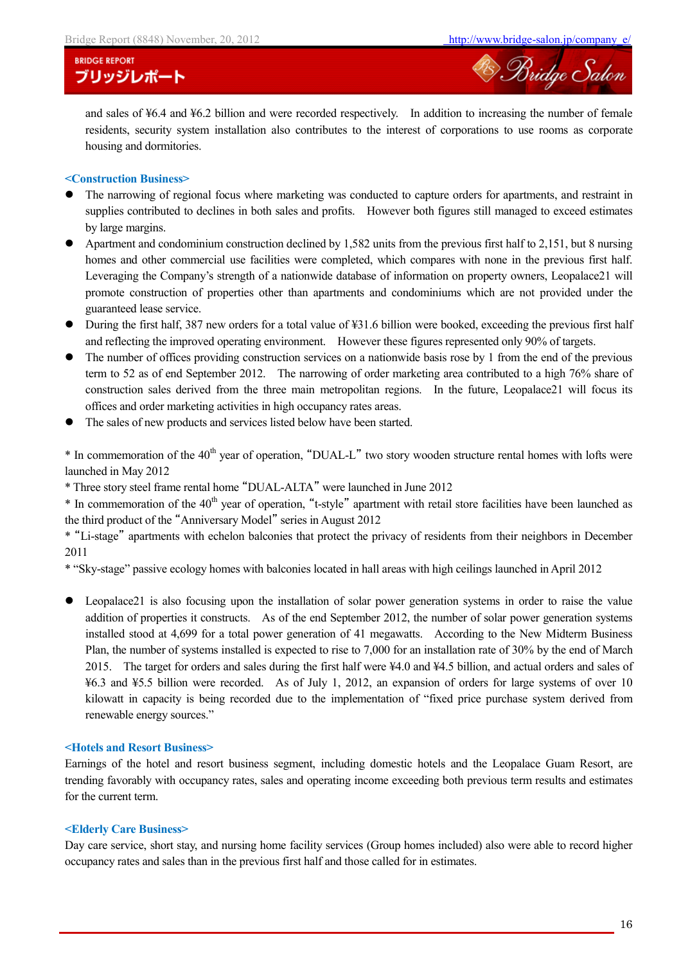

and sales of ¥6.4 and ¥6.2 billion and were recorded respectively. In addition to increasing the number of female residents, security system installation also contributes to the interest of corporations to use rooms as corporate housing and dormitories.

#### **<Construction Business>**

- The narrowing of regional focus where marketing was conducted to capture orders for apartments, and restraint in supplies contributed to declines in both sales and profits. However both figures still managed to exceed estimates by large margins.
- Apartment and condominium construction declined by 1,582 units from the previous first half to 2,151, but 8 nursing homes and other commercial use facilities were completed, which compares with none in the previous first half. Leveraging the Company's strength of a nationwide database of information on property owners, Leopalace21 will promote construction of properties other than apartments and condominiums which are not provided under the guaranteed lease service.
- During the first half, 387 new orders for a total value of ¥31.6 billion were booked, exceeding the previous first half and reflecting the improved operating environment. However these figures represented only 90% of targets.
- The number of offices providing construction services on a nationwide basis rose by 1 from the end of the previous term to 52 as of end September 2012. The narrowing of order marketing area contributed to a high 76% share of construction sales derived from the three main metropolitan regions. In the future, Leopalace21 will focus its offices and order marketing activities in high occupancy rates areas.
- The sales of new products and services listed below have been started.

 $*$  In commemoration of the 40<sup>th</sup> year of operation, "DUAL-L" two story wooden structure rental homes with lofts were launched in May 2012

\* Three story steel frame rental home "DUAL-ALTA" were launched in June 2012

\* In commemoration of the 40<sup>th</sup> year of operation, "t-style" apartment with retail store facilities have been launched as the third product of the "Anniversary Model" series in August 2012

\* "Li-stage" apartments with echelon balconies that protect the privacy of residents from their neighbors in December 2011

\* "Sky-stage" passive ecology homes with balconies located in hall areas with high ceilings launched in April 2012

 Leopalace21 is also focusing upon the installation of solar power generation systems in order to raise the value addition of properties it constructs. As of the end September 2012, the number of solar power generation systems installed stood at 4,699 for a total power generation of 41 megawatts. According to the New Midterm Business Plan, the number of systems installed is expected to rise to 7,000 for an installation rate of 30% by the end of March 2015. The target for orders and sales during the first half were ¥4.0 and ¥4.5 billion, and actual orders and sales of ¥6.3 and ¥5.5 billion were recorded. As of July 1, 2012, an expansion of orders for large systems of over 10 kilowatt in capacity is being recorded due to the implementation of "fixed price purchase system derived from renewable energy sources."

#### **<Hotels and Resort Business>**

Earnings of the hotel and resort business segment, including domestic hotels and the Leopalace Guam Resort, are trending favorably with occupancy rates, sales and operating income exceeding both previous term results and estimates for the current term.

#### **<Elderly Care Business>**

Day care service, short stay, and nursing home facility services (Group homes included) also were able to record higher occupancy rates and sales than in the previous first half and those called for in estimates.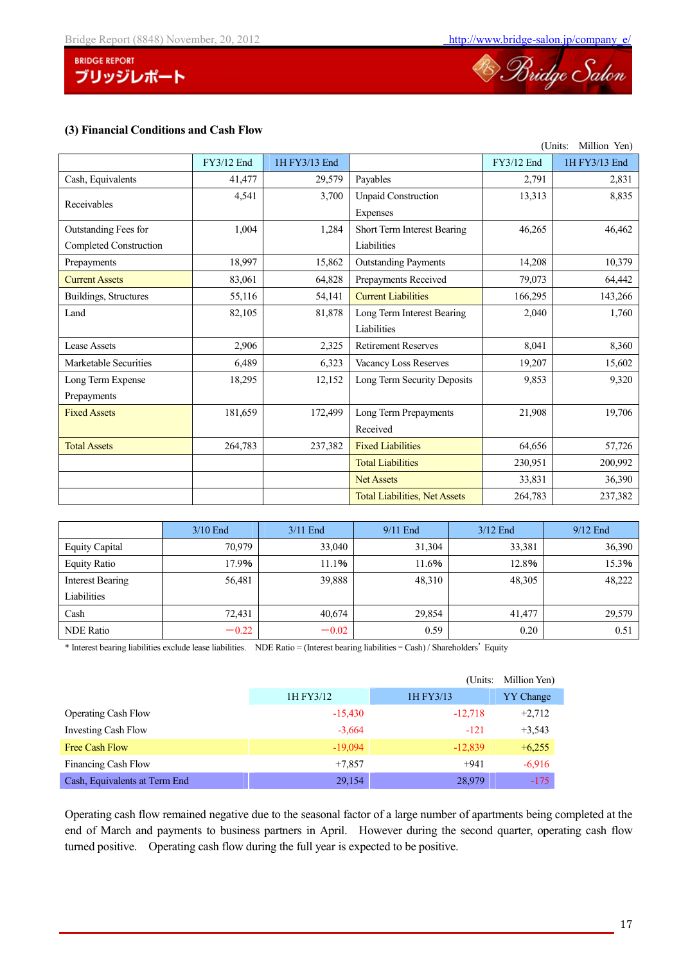



## **(3) Financial Conditions and Cash Flow**

| (Units:                |            |               |                                      |            | Million Yen)  |
|------------------------|------------|---------------|--------------------------------------|------------|---------------|
|                        | FY3/12 End | 1H FY3/13 End |                                      | FY3/12 End | 1H FY3/13 End |
| Cash, Equivalents      | 41,477     | 29,579        | Payables                             | 2,791      | 2,831         |
| Receivables            | 4,541      | 3,700         | <b>Unpaid Construction</b>           | 13,313     | 8,835         |
|                        |            |               | Expenses                             |            |               |
| Outstanding Fees for   | 1,004      | 1,284         | Short Term Interest Bearing          | 46,265     | 46,462        |
| Completed Construction |            |               | Liabilities                          |            |               |
| Prepayments            | 18,997     | 15,862        | <b>Outstanding Payments</b>          | 14,208     | 10,379        |
| <b>Current Assets</b>  | 83,061     | 64,828        | Prepayments Received                 | 79,073     | 64,442        |
| Buildings, Structures  | 55,116     | 54,141        | <b>Current Liabilities</b>           | 166,295    | 143,266       |
| Land                   | 82,105     | 81,878        | Long Term Interest Bearing           | 2,040      | 1,760         |
|                        |            |               | Liabilities                          |            |               |
| <b>Lease Assets</b>    | 2,906      | 2,325         | <b>Retirement Reserves</b>           | 8,041      | 8,360         |
| Marketable Securities  | 6,489      | 6,323         | Vacancy Loss Reserves                | 19,207     | 15,602        |
| Long Term Expense      | 18,295     | 12,152        | Long Term Security Deposits          | 9,853      | 9,320         |
| Prepayments            |            |               |                                      |            |               |
| <b>Fixed Assets</b>    | 181,659    | 172,499       | Long Term Prepayments                | 21,908     | 19,706        |
|                        |            |               | Received                             |            |               |
| <b>Total Assets</b>    | 264,783    | 237,382       | <b>Fixed Liabilities</b>             | 64,656     | 57,726        |
|                        |            |               | <b>Total Liabilities</b>             | 230,951    | 200,992       |
|                        |            |               | <b>Net Assets</b>                    | 33,831     | 36,390        |
|                        |            |               | <b>Total Liabilities, Net Assets</b> | 264,783    | 237,382       |

|                       | $3/10$ End | $3/11$ End | $9/11$ End | $3/12$ End | $9/12$ End |
|-----------------------|------------|------------|------------|------------|------------|
| <b>Equity Capital</b> | 70.979     | 33,040     | 31,304     | 33,381     | 36,390     |
| <b>Equity Ratio</b>   | 17.9%      | 11.1%      | 11.6%      | 12.8%      | 15.3%      |
| Interest Bearing      | 56,481     | 39,888     | 48,310     | 48,305     | 48,222     |
| Liabilities           |            |            |            |            |            |
| Cash                  | 72,431     | 40,674     | 29,854     | 41,477     | 29,579     |
| <b>NDE Ratio</b>      | $-0.22$    | $-0.02$    | 0.59       | 0.20       | 0.51       |

\* Interest bearing liabilities exclude lease liabilities. NDE Ratio = (Interest bearing liabilities – Cash) / Shareholders' Equity

|                               |           | Million Yen)<br>(Units: |          |
|-------------------------------|-----------|-------------------------|----------|
|                               | 1H FY3/12 | 1H FY3/13               |          |
| <b>Operating Cash Flow</b>    | $-15,430$ | $-12,718$               | $+2,712$ |
| Investing Cash Flow           | $-3,664$  | $-121$                  | $+3,543$ |
| Free Cash Flow                | $-19,094$ | $-12,839$               | $+6,255$ |
| Financing Cash Flow           | $+7.857$  | $+941$                  | $-6,916$ |
| Cash, Equivalents at Term End | 29,154    | 28,979                  | $-175$   |

Operating cash flow remained negative due to the seasonal factor of a large number of apartments being completed at the end of March and payments to business partners in April. However during the second quarter, operating cash flow turned positive. Operating cash flow during the full year is expected to be positive.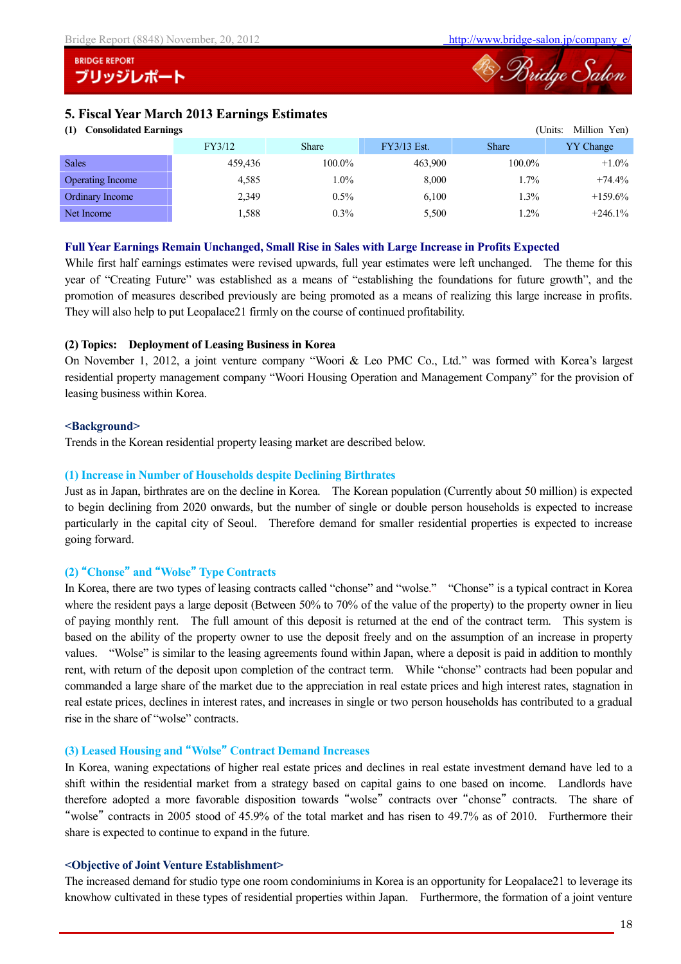

## **5. Fiscal Year March 2013 Earnings Estimates**

## **(1) Consolidated Earnings** (Units: Million Yen)

| $\left( \frac{1}{2} \right)$<br>Consonauca Lai mncs<br>$\sum_{i=1}^{n}$ |              |             |              |                  |  |  |
|-------------------------------------------------------------------------|--------------|-------------|--------------|------------------|--|--|
| FY3/12                                                                  | <b>Share</b> | FY3/13 Est. | <b>Share</b> | <b>YY Change</b> |  |  |
| 459,436                                                                 | 100.0%       | 463.900     | 100.0%       | $+1.0\%$         |  |  |
| 4,585                                                                   | $1.0\%$      | 8,000       | 1.7%         | $+74.4\%$        |  |  |
| 2,349                                                                   | $0.5\%$      | 6,100       | 1.3%         | $+159.6\%$       |  |  |
| .588                                                                    | $0.3\%$      | 5,500       | $.2\%$       | $+246.1%$        |  |  |
|                                                                         |              |             |              |                  |  |  |

#### **Full Year Earnings Remain Unchanged, Small Rise in Sales with Large Increase in Profits Expected**

While first half earnings estimates were revised upwards, full year estimates were left unchanged. The theme for this year of "Creating Future" was established as a means of "establishing the foundations for future growth", and the promotion of measures described previously are being promoted as a means of realizing this large increase in profits. They will also help to put Leopalace21 firmly on the course of continued profitability.

## **(2) Topics: Deployment of Leasing Business in Korea**

On November 1, 2012, a joint venture company "Woori & Leo PMC Co., Ltd." was formed with Korea's largest residential property management company "Woori Housing Operation and Management Company" for the provision of leasing business within Korea.

### **<Background>**

Trends in the Korean residential property leasing market are described below.

### **(1) Increase in Number of Households despite Declining Birthrates**

Just as in Japan, birthrates are on the decline in Korea. The Korean population (Currently about 50 million) is expected to begin declining from 2020 onwards, but the number of single or double person households is expected to increase particularly in the capital city of Seoul. Therefore demand for smaller residential properties is expected to increase going forward.

## **(2)** "**Chonse**" **and** "**Wolse**" **Type Contracts**

In Korea, there are two types of leasing contracts called "chonse" and "wolse." "Chonse" is a typical contract in Korea where the resident pays a large deposit (Between 50% to 70% of the value of the property) to the property owner in lieu of paying monthly rent. The full amount of this deposit is returned at the end of the contract term. This system is based on the ability of the property owner to use the deposit freely and on the assumption of an increase in property values. "Wolse" is similar to the leasing agreements found within Japan, where a deposit is paid in addition to monthly rent, with return of the deposit upon completion of the contract term. While "chonse" contracts had been popular and commanded a large share of the market due to the appreciation in real estate prices and high interest rates, stagnation in real estate prices, declines in interest rates, and increases in single or two person households has contributed to a gradual rise in the share of "wolse" contracts.

## **(3) Leased Housing and** "**Wolse**" **Contract Demand Increases**

In Korea, waning expectations of higher real estate prices and declines in real estate investment demand have led to a shift within the residential market from a strategy based on capital gains to one based on income. Landlords have therefore adopted a more favorable disposition towards "wolse" contracts over "chonse" contracts. The share of "wolse" contracts in 2005 stood of 45.9% of the total market and has risen to 49.7% as of 2010. Furthermore their share is expected to continue to expand in the future.

### **<Objective of Joint Venture Establishment>**

The increased demand for studio type one room condominiums in Korea is an opportunity for Leopalace21 to leverage its knowhow cultivated in these types of residential properties within Japan. Furthermore, the formation of a joint venture